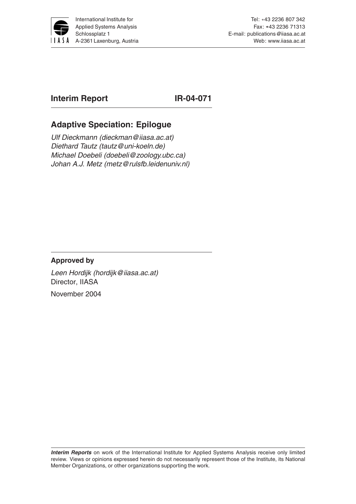

# **Interim Report IR-04-071**

# **Adaptive Speciation: Epilogue**

Ulf Dieckmann (dieckman@iiasa.ac.at) Diethard Tautz (tautz@uni-koeln.de) Michael Doebeli (doebeli@zoology.ubc.ca) Johan A.J. Metz (metz@rulsfb.leidenuniv.nl)

## **Approved by**

Leen Hordijk (hordijk@iiasa.ac.at) Director, IIASA

November 2004

**Interim Reports** on work of the International Institute for Applied Systems Analysis receive only limited review. Views or opinions expressed herein do not necessarily represent those of the Institute, its National Member Organizations, or other organizations supporting the work.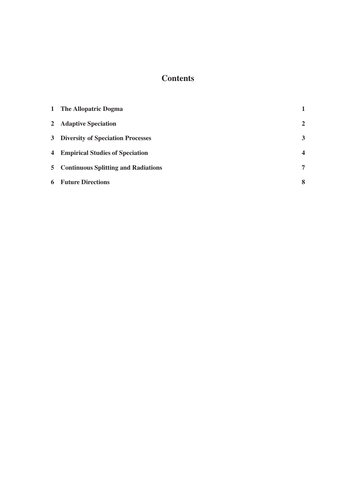# **Contents**

| 1 The Allopatric Dogma                       |                         |
|----------------------------------------------|-------------------------|
| 2 Adaptive Speciation                        | $\mathbf{2}$            |
| <b>3</b> Diversity of Speciation Processes   | 3                       |
| <b>4</b> Empirical Studies of Speciation     | $\overline{\mathbf{4}}$ |
| <b>5</b> Continuous Splitting and Radiations | 7                       |
| <b>6</b> Future Directions                   | 8                       |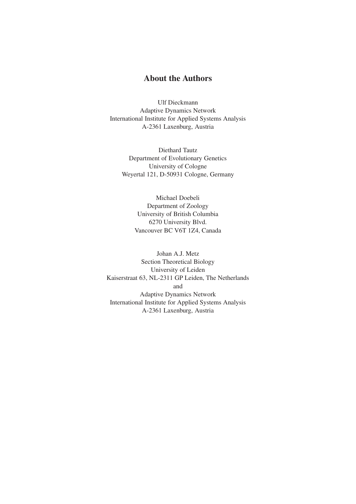# **About the Authors**

Ulf Dieckmann Adaptive Dynamics Network International Institute for Applied Systems Analysis A-2361 Laxenburg, Austria

Diethard Tautz Department of Evolutionary Genetics University of Cologne Weyertal 121, D-50931 Cologne, Germany

> Michael Doebeli Department of Zoology University of British Columbia 6270 University Blvd. Vancouver BC V6T 1Z4, Canada

Johan A.J. Metz Section Theoretical Biology University of Leiden Kaiserstraat 63, NL-2311 GP Leiden, The Netherlands and Adaptive Dynamics Network International Institute for Applied Systems Analysis A-2361 Laxenburg, Austria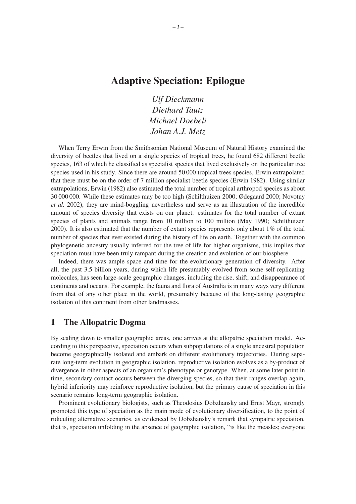# **Adaptive Speciation: Epilogue**

*Ulf Dieckmann Diethard Tautz Michael Doebeli Johan A.J. Metz*

When Terry Erwin from the Smithsonian National Museum of Natural History examined the diversity of beetles that lived on a single species of tropical trees, he found 682 different beetle species, 163 of which he classified as specialist species that lived exclusively on the particular tree species used in his study. Since there are around 50 000 tropical trees species, Erwin extrapolated that there must be on the order of 7 million specialist beetle species (Erwin 1982). Using similar extrapolations, Erwin (1982) also estimated the total number of tropical arthropod species as about 30 000 000. While these estimates may be too high (Schilthuizen 2000; Ødegaard 2000; Novotny *et al.* 2002), they are mind-boggling nevertheless and serve as an illustration of the incredible amount of species diversity that exists on our planet: estimates for the total number of extant species of plants and animals range from 10 million to 100 million (May 1990; Schilthuizen 2000). It is also estimated that the number of extant species represents only about  $1\%$  of the total number of species that ever existed during the history of life on earth. Together with the common phylogenetic ancestry usually inferred for the tree of life for higher organisms, this implies that speciation must have been truly rampant during the creation and evolution of our biosphere.

Indeed, there was ample space and time for the evolutionary generation of diversity. After all, the past 3.5 billion years, during which life presumably evolved from some self-replicating molecules, has seen large-scale geographic changes, including the rise, shift, and disappearance of continents and oceans. For example, the fauna and flora of Australia is in many ways very different from that of any other place in the world, presumably because of the long-lasting geographic isolation of this continent from other landmasses.

## **1 The Allopatric Dogma**

By scaling down to smaller geographic areas, one arrives at the allopatric speciation model. According to this perspective, speciation occurs when subpopulations of a single ancestral population become geographically isolated and embark on different evolutionary trajectories. During separate long-term evolution in geographic isolation, reproductive isolation evolves as a by-product of divergence in other aspects of an organism's phenotype or genotype. When, at some later point in time, secondary contact occurs between the diverging species, so that their ranges overlap again, hybrid inferiority may reinforce reproductive isolation, but the primary cause of speciation in this scenario remains long-term geographic isolation.

Prominent evolutionary biologists, such as Theodosius Dobzhansky and Ernst Mayr, strongly promoted this type of speciation as the main mode of evolutionary diversification, to the point of ridiculing alternative scenarios, as evidenced by Dobzhansky's remark that sympatric speciation, that is, speciation unfolding in the absence of geographic isolation, "is like the measles; everyone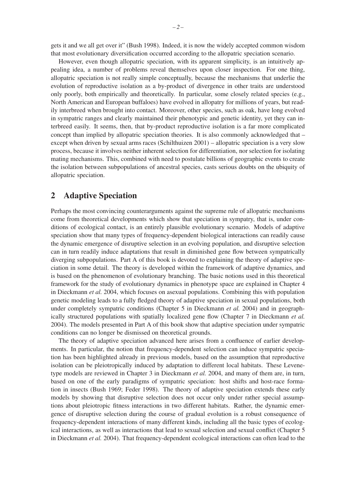gets it and we all get over it" (Bush 1998). Indeed, it is now the widely accepted common wisdom that most evolutionary diversification occurred according to the allopatric speciation scenario.

However, even though allopatric speciation, with its apparent simplicity, is an intuitively appealing idea, a number of problems reveal themselves upon closer inspection. For one thing, allopatric speciation is not really simple conceptually, because the mechanisms that underlie the evolution of reproductive isolation as a by-product of divergence in other traits are understood only poorly, both empirically and theoretically. In particular, some closely related species (e.g., North American and European buffaloes) have evolved in allopatry for millions of years, but readily interbreed when brought into contact. Moreover, other species, such as oak, have long evolved in sympatric ranges and clearly maintained their phenotypic and genetic identity, yet they can interbreed easily. It seems, then, that by-product reproductive isolation is a far more complicated concept than implied by allopatric speciation theories. It is also commonly acknowledged that – except when driven by sexual arms races (Schilthuizen 2001) – allopatric speciation is a very slow process, because it involves neither inherent selection for differentiation, nor selection for isolating mating mechanisms. This, combined with need to postulate billions of geographic events to create the isolation between subpopulations of ancestral species, casts serious doubts on the ubiquity of allopatric speciation.

## **2 Adaptive Speciation**

Perhaps the most convincing counterarguments against the supreme rule of allopatric mechanisms come from theoretical developments which show that speciation in sympatry, that is, under conditions of ecological contact, is an entirely plausible evolutionary scenario. Models of adaptive speciation show that many types of frequency-dependent biological interactions can readily cause the dynamic emergence of disruptive selection in an evolving population, and disruptive selection can in turn readily induce adaptations that result in diminished gene flow between sympatrically diverging subpopulations. Part A of this book is devoted to explaining the theory of adaptive speciation in some detail. The theory is developed within the framework of adaptive dynamics, and is based on the phenomenon of evolutionary branching. The basic notions used in this theoretical framework for the study of evolutionary dynamics in phenotype space are explained in Chapter 4 in Dieckmann *et al.* 2004, which focuses on asexual populations. Combining this with population genetic modeling leads to a fully fledged theory of adaptive speciation in sexual populations, both under completely sympatric conditions (Chapter 5 in Dieckmann *et al.* 2004) and in geographically structured populations with spatially localized gene flow (Chapter 7 in Dieckmann *et al.* 2004). The models presented in Part A of this book show that adaptive speciation under sympatric conditions can no longer be dismissed on theoretical grounds.

The theory of adaptive speciation advanced here arises from a confluence of earlier developments. In particular, the notion that frequency-dependent selection can induce sympatric speciation has been highlighted already in previous models, based on the assumption that reproductive isolation can be pleiotropically induced by adaptation to different local habitats. These Levenetype models are reviewed in Chapter 3 in Dieckmann *et al.* 2004, and many of them are, in turn, based on one of the early paradigms of sympatric speciation: host shifts and host-race formation in insects (Bush 1969; Feder 1998). The theory of adaptive speciation extends these early models by showing that disruptive selection does not occur only under rather special assumptions about pleiotropic fitness interactions in two different habitats. Rather, the dynamic emergence of disruptive selection during the course of gradual evolution is a robust consequence of frequency-dependent interactions of many different kinds, including all the basic types of ecological interactions, as well as interactions that lead to sexual selection and sexual conflict (Chapter 5 in Dieckmann *et al.* 2004). That frequency-dependent ecological interactions can often lead to the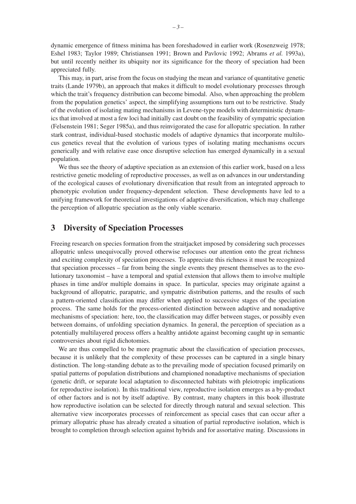dynamic emergence of fitness minima has been foreshadowed in earlier work (Rosenzweig 1978; Eshel 1983; Taylor 1989; Christiansen 1991; Brown and Pavlovic 1992; Abrams *et al.* 1993a), but until recently neither its ubiquity nor its significance for the theory of speciation had been appreciated fully.

This may, in part, arise from the focus on studying the mean and variance of quantitative genetic traits (Lande 1979b), an approach that makes it difficult to model evolutionary processes through which the trait's frequency distribution can become bimodal. Also, when approaching the problem from the population genetics' aspect, the simplifying assumptions turn out to be restrictive. Study of the evolution of isolating mating mechanisms in Levene-type models with deterministic dynamics that involved at most a few loci had initially cast doubt on the feasibility of sympatric speciation (Felsenstein 1981; Seger 1985a), and thus reinvigorated the case for allopatric speciation. In rather stark contrast, individual-based stochastic models of adaptive dynamics that incorporate multilocus genetics reveal that the evolution of various types of isolating mating mechanisms occurs generically and with relative ease once disruptive selection has emerged dynamically in a sexual population.

We thus see the theory of adaptive speciation as an extension of this earlier work, based on a less restrictive genetic modeling of reproductive processes, as well as on advances in our understanding of the ecological causes of evolutionary diversification that result from an integrated approach to phenotypic evolution under frequency-dependent selection. These developments have led to a unifying framework for theoretical investigations of adaptive diversification, which may challenge the perception of allopatric speciation as the only viable scenario.

#### **3 Diversity of Speciation Processes**

Freeing research on species formation from the straitjacket imposed by considering such processes allopatric unless unequivocally proved otherwise refocuses our attention onto the great richness and exciting complexity of speciation processes. To appreciate this richness it must be recognized that speciation processes – far from being the single events they present themselves as to the evolutionary taxonomist – have a temporal and spatial extension that allows them to involve multiple phases in time and/or multiple domains in space. In particular, species may originate against a background of allopatric, parapatric, and sympatric distribution patterns, and the results of such a pattern-oriented classification may differ when applied to successive stages of the speciation process. The same holds for the process-oriented distinction between adaptive and nonadaptive mechanisms of speciation: here, too, the classification may differ between stages, or possibly even between domains, of unfolding speciation dynamics. In general, the perception of speciation as a potentially multilayered process offers a healthy antidote against becoming caught up in semantic controversies about rigid dichotomies.

We are thus compelled to be more pragmatic about the classification of speciation processes, because it is unlikely that the complexity of these processes can be captured in a single binary distinction. The long-standing debate as to the prevailing mode of speciation focused primarily on spatial patterns of population distributions and championed nonadaptive mechanisms of speciation (genetic drift, or separate local adaptation to disconnected habitats with pleiotropic implications for reproductive isolation). In this traditional view, reproductive isolation emerges as a by-product of other factors and is not by itself adaptive. By contrast, many chapters in this book illustrate how reproductive isolation can be selected for directly through natural and sexual selection. This alternative view incorporates processes of reinforcement as special cases that can occur after a primary allopatric phase has already created a situation of partial reproductive isolation, which is brought to completion through selection against hybrids and for assortative mating. Discussions in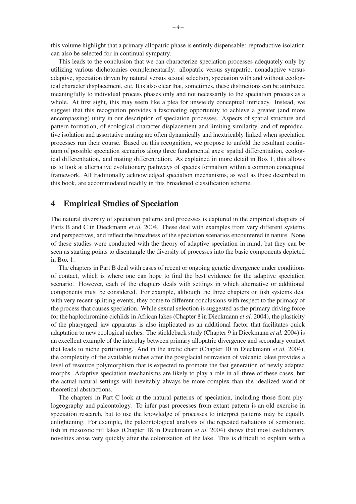this volume highlight that a primary allopatric phase is entirely dispensable: reproductive isolation can also be selected for in continual sympatry.

This leads to the conclusion that we can characterize speciation processes adequately only by utilizing various dichotomies complementarily: allopatric versus sympatric, nonadaptive versus adaptive, speciation driven by natural versus sexual selection, speciation with and without ecological character displacement, etc. It is also clear that, sometimes, these distinctions can be attributed meaningfully to individual process phases only and not necessarily to the speciation process as a whole. At first sight, this may seem like a plea for unwieldy conceptual intricacy. Instead, we suggest that this recognition provides a fascinating opportunity to achieve a greater (and more encompassing) unity in our description of speciation processes. Aspects of spatial structure and pattern formation, of ecological character displacement and limiting similarity, and of reproductive isolation and assortative mating are often dynamically and inextricably linked when speciation processes run their course. Based on this recognition, we propose to unfold the resultant continuum of possible speciation scenarios along three fundamental axes: spatial differentiation, ecological differentiation, and mating differentiation. As explained in more detail in Box 1, this allows us to look at alternative evolutionary pathways of species formation within a common conceptual framework. All traditionally acknowledged speciation mechanisms, as well as those described in this book, are accommodated readily in this broadened classification scheme.

### **4 Empirical Studies of Speciation**

The natural diversity of speciation patterns and processes is captured in the empirical chapters of Parts B and C in Dieckmann *et al.* 2004. These deal with examples from very different systems and perspectives, and reflect the broadness of the speciation scenarios encountered in nature. None of these studies were conducted with the theory of adaptive speciation in mind, but they can be seen as starting points to disentangle the diversity of processes into the basic components depicted in Box 1.

The chapters in Part B deal with cases of recent or ongoing genetic divergence under conditions of contact, which is where one can hope to find the best evidence for the adaptive speciation scenario. However, each of the chapters deals with settings in which alternative or additional components must be considered. For example, although the three chapters on fish systems deal with very recent splitting events, they come to different conclusions with respect to the primacy of the process that causes speciation. While sexual selection is suggested as the primary driving force for the haplochromine cichlids in African lakes (Chapter 8 in Dieckmann *et al.* 2004), the plasticity of the pharyngeal jaw apparatus is also implicated as an additional factor that facilitates quick adaptation to new ecological niches. The stickleback study (Chapter 9 in Dieckmann *et al.* 2004) is an excellent example of the interplay between primary allopatric divergence and secondary contact that leads to niche partitioning. And in the arctic charr (Chapter 10 in Dieckmann *et al.* 2004), the complexity of the available niches after the postglacial reinvasion of volcanic lakes provides a level of resource polymorphism that is expected to promote the fast generation of newly adapted morphs. Adaptive speciation mechanisms are likely to play a role in all three of these cases, but the actual natural settings will inevitably always be more complex than the idealized world of theoretical abstractions.

The chapters in Part C look at the natural patterns of speciation, including those from phylogeography and paleontology. To infer past processes from extant pattern is an old exercise in speciation research, but to use the knowledge of processes to interpret patterns may be equally enlightening. For example, the paleontological analysis of the repeated radiations of semionotid fish in mesozoic rift lakes (Chapter 18 in Dieckmann *et al.* 2004) shows that most evolutionary novelties arose very quickly after the colonization of the lake. This is difficult to explain with a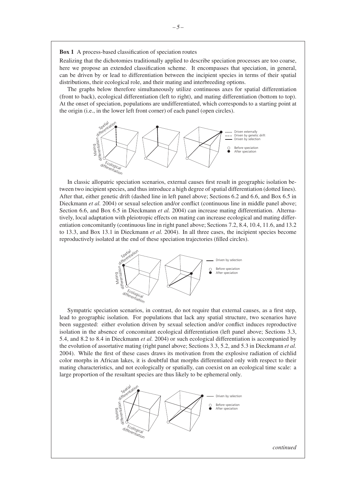**Box 1** A process-based classification of speciation routes

Realizing that the dichotomies traditionally applied to describe speciation processes are too coarse, here we propose an extended classification scheme. It encompasses that speciation, in general, can be driven by or lead to differentiation between the incipient species in terms of their spatial distributions, their ecological role, and their mating and interbreeding options.

The graphs below therefore simultaneously utilize continuous axes for spatial differentiation (front to back), ecological differentiation (left to right), and mating differentiation (bottom to top). At the onset of speciation, populations are undifferentiated, which corresponds to a starting point at the origin (i.e., in the lower left front corner) of each panel (open circles).



In classic allopatric speciation scenarios, external causes first result in geographic isolation between two incipient species, and thus introduce a high degree of spatial differentiation (dotted lines). After that, either genetic drift (dashed line in left panel above; Sections 6.2 and 6.6, and Box 6.5 in Dieckmann *et al.* 2004) or sexual selection and/or conflict (continuous line in middle panel above; Section 6.6, and Box 6.5 in Dieckmann *et al.* 2004) can increase mating differentiation. Alternatively, local adaptation with pleiotropic effects on mating can increase ecological and mating differentiation concomitantly (continuous line in right panel above; Sections 7.2, 8.4, 10.4, 11.6, and 13.2 to 13.3, and Box 13.1 in Dieckmann *et al.* 2004). In all three cases, the incipient species become reproductively isolated at the end of these speciation trajectories (filled circles).



Sympatric speciation scenarios, in contrast, do not require that external causes, as a first step, lead to geographic isolation. For populations that lack any spatial structure, two scenarios have been suggested: either evolution driven by sexual selection and/or conflict induces reproductive isolation in the absence of concomitant ecological differentiation (left panel above; Sections 3.3, 5.4, and 8.2 to 8.4 in Dieckmann *et al.* 2004) or such ecological differentiation is accompanied by the evolution of assortative mating (right panel above; Sections 3.3, 5.2, and 5.3 in Dieckmann *et al.* 2004). While the first of these cases draws its motivation from the explosive radiation of cichlid color morphs in African lakes, it is doubtful that morphs differentiated only with respect to their mating characteristics, and not ecologically or spatially, can coexist on an ecological time scale: a large proportion of the resultant species are thus likely to be ephemeral only.

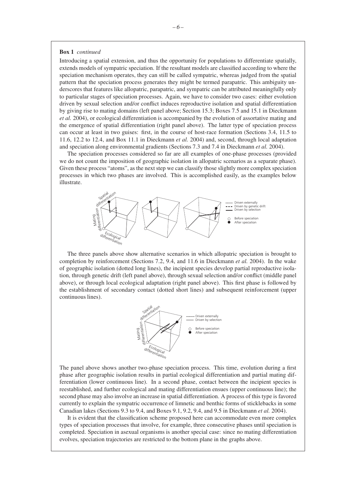#### **Box 1** *continued*

Introducing a spatial extension, and thus the opportunity for populations to differentiate spatially, extends models of sympatric speciation. If the resultant models are classified according to where the speciation mechanism operates, they can still be called sympatric, whereas judged from the spatial pattern that the speciation process generates they might be termed parapatric. This ambiguity underscores that features like allopatric, parapatric, and sympatric can be attributed meaningfully only to particular stages of speciation processes. Again, we have to consider two cases: either evolution driven by sexual selection and/or conflict induces reproductive isolation and spatial differentiation by giving rise to mating domains (left panel above; Section 15.3; Boxes 7.5 and 15.1 in Dieckmann *et al.* 2004), or ecological differentiation is accompanied by the evolution of assortative mating and the emergence of spatial differentiation (right panel above). The latter type of speciation process can occur at least in two guises: first, in the course of host-race formation (Sections 3.4, 11.5 to 11.6, 12.2 to 12.4, and Box 11.1 in Dieckmann *et al.* 2004) and, second, through local adaptation and speciation along environmental gradients (Sections 7.3 and 7.4 in Dieckmann *et al.* 2004).

The speciation processes considered so far are all examples of one-phase processes (provided we do not count the imposition of geographic isolation in allopatric scenarios as a separate phase). Given these process "atoms", as the next step we can classify those slightly more complex speciation processes in which two phases are involved. This is accomplished easily, as the examples below illustrate.



The three panels above show alternative scenarios in which allopatric speciation is brought to completion by reinforcement (Sections 7.2, 9.4, and 11.6 in Dieckmann *et al.* 2004). In the wake of geographic isolation (dotted long lines), the incipient species develop partial reproductive isolation, through genetic drift (left panel above), through sexual selection and/or conflict (middle panel above), or through local ecological adaptation (right panel above). This first phase is followed by the establishment of secondary contact (dotted short lines) and subsequent reinforcement (upper continuous lines).



The panel above shows another two-phase speciation process. This time, evolution during a first phase after geographic isolation results in partial ecological differentiation and partial mating differentiation (lower continuous line). In a second phase, contact between the incipient species is reestablished, and further ecological and mating differentiation ensues (upper continuous line); the second phase may also involve an increase in spatial differentiation. A process of this type is favored currently to explain the sympatric occurrence of limnetic and benthic forms of sticklebacks in some Canadian lakes (Sections 9.3 to 9.4, and Boxes 9.1, 9.2, 9.4, and 9.5 in Dieckmann *et al.* 2004).

It is evident that the classification scheme proposed here can accommodate even more complex types of speciation processes that involve, for example, three consecutive phases until speciation is completed. Speciation in asexual organisms is another special case: since no mating differentiation evolves, speciation trajectories are restricted to the bottom plane in the graphs above.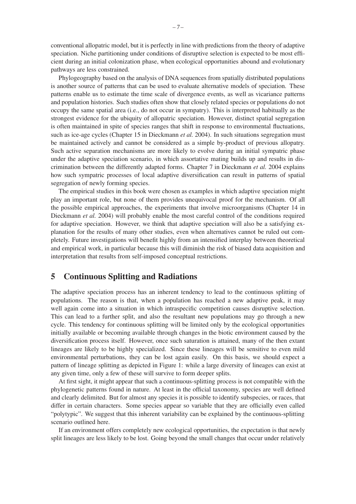conventional allopatric model, but it is perfectly in line with predictions from the theory of adaptive speciation. Niche partitioning under conditions of disruptive selection is expected to be most efficient during an initial colonization phase, when ecological opportunities abound and evolutionary pathways are less constrained.

Phylogeography based on the analysis of DNA sequences from spatially distributed populations is another source of patterns that can be used to evaluate alternative models of speciation. These patterns enable us to estimate the time scale of divergence events, as well as vicariance patterns and population histories. Such studies often show that closely related species or populations do not occupy the same spatial area (i.e., do not occur in sympatry). This is interpreted habitually as the strongest evidence for the ubiquity of allopatric speciation. However, distinct spatial segregation is often maintained in spite of species ranges that shift in response to environmental fluctuations, such as ice-age cycles (Chapter 15 in Dieckmann *et al.* 2004). In such situations segregation must be maintained actively and cannot be considered as a simple by-product of previous allopatry. Such active separation mechanisms are more likely to evolve during an initial sympatric phase under the adaptive speciation scenario, in which assortative mating builds up and results in discrimination between the differently adapted forms. Chapter 7 in Dieckmann *et al.* 2004 explains how such sympatric processes of local adaptive diversification can result in patterns of spatial segregation of newly forming species.

The empirical studies in this book were chosen as examples in which adaptive speciation might play an important role, but none of them provides unequivocal proof for the mechanism. Of all the possible empirical approaches, the experiments that involve microorganisms (Chapter 14 in Dieckmann *et al.* 2004) will probably enable the most careful control of the conditions required for adaptive speciation. However, we think that adaptive speciation will also be a satisfying explanation for the results of many other studies, even when alternatives cannot be ruled out completely. Future investigations will benefit highly from an intensified interplay between theoretical and empirical work, in particular because this will diminish the risk of biased data acquisition and interpretation that results from self-imposed conceptual restrictions.

## **5 Continuous Splitting and Radiations**

The adaptive speciation process has an inherent tendency to lead to the continuous splitting of populations. The reason is that, when a population has reached a new adaptive peak, it may well again come into a situation in which intraspecific competition causes disruptive selection. This can lead to a further split, and also the resultant new populations may go through a new cycle. This tendency for continuous splitting will be limited only by the ecological opportunities initially available or becoming available through changes in the biotic environment caused by the diversification process itself. However, once such saturation is attained, many of the then extant lineages are likely to be highly specialized. Since these lineages will be sensitive to even mild environmental perturbations, they can be lost again easily. On this basis, we should expect a pattern of lineage splitting as depicted in Figure 1: while a large diversity of lineages can exist at any given time, only a few of these will survive to form deeper splits.

At first sight, it might appear that such a continuous-splitting process is not compatible with the phylogenetic patterns found in nature. At least in the official taxonomy, species are well defined and clearly delimited. But for almost any species it is possible to identify subspecies, or races, that differ in certain characters. Some species appear so variable that they are officially even called "polytypic". We suggest that this inherent variability can be explained by the continuous-splitting scenario outlined here.

If an environment offers completely new ecological opportunities, the expectation is that newly split lineages are less likely to be lost. Going beyond the small changes that occur under relatively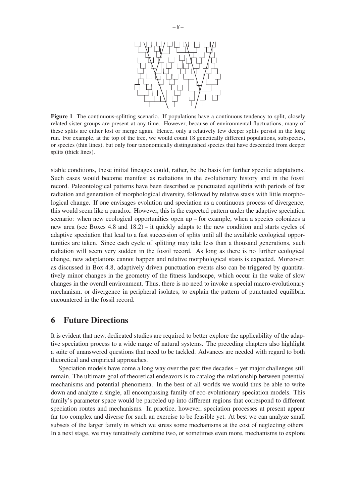

Figure 1 The continuous-splitting scenario. If populations have a continuous tendency to split, closely related sister groups are present at any time. However, because of environmental fluctuations, many of these splits are either lost or merge again. Hence, only a relatively few deeper splits persist in the long run. For example, at the top of the tree, we would count 18 genetically different populations, subspecies, or species (thin lines), but only four taxonomically distinguished species that have descended from deeper splits (thick lines).

stable conditions, these initial lineages could, rather, be the basis for further specific adaptations. Such cases would become manifest as radiations in the evolutionary history and in the fossil record. Paleontological patterns have been described as punctuated equilibria with periods of fast radiation and generation of morphological diversity, followed by relative stasis with little morphological change. If one envisages evolution and speciation as a continuous process of divergence, this would seem like a paradox. However, this is the expected pattern under the adaptive speciation scenario: when new ecological opportunities open up – for example, when a species colonizes a new area (see Boxes 4.8 and 18.2) – it quickly adapts to the new condition and starts cycles of adaptive speciation that lead to a fast succession of splits until all the available ecological opportunities are taken. Since each cycle of splitting may take less than a thousand generations, such radiation will seem very sudden in the fossil record. As long as there is no further ecological change, new adaptations cannot happen and relative morphological stasis is expected. Moreover, as discussed in Box 4.8, adaptively driven punctuation events also can be triggered by quantitatively minor changes in the geometry of the fitness landscape, which occur in the wake of slow changes in the overall environment. Thus, there is no need to invoke a special macro-evolutionary mechanism, or divergence in peripheral isolates, to explain the pattern of punctuated equilibria encountered in the fossil record.

### **6 Future Directions**

It is evident that new, dedicated studies are required to better explore the applicability of the adaptive speciation process to a wide range of natural systems. The preceding chapters also highlight a suite of unanswered questions that need to be tackled. Advances are needed with regard to both theoretical and empirical approaches.

Speciation models have come a long way over the past five decades – yet major challenges still remain. The ultimate goal of theoretical endeavors is to catalog the relationship between potential mechanisms and potential phenomena. In the best of all worlds we would thus be able to write down and analyze a single, all encompassing family of eco-evolutionary speciation models. This family's parameter space would be parceled up into different regions that correspond to different speciation routes and mechanisms. In practice, however, speciation processes at present appear far too complex and diverse for such an exercise to be feasible yet. At best we can analyze small subsets of the larger family in which we stress some mechanisms at the cost of neglecting others. In a next stage, we may tentatively combine two, or sometimes even more, mechanisms to explore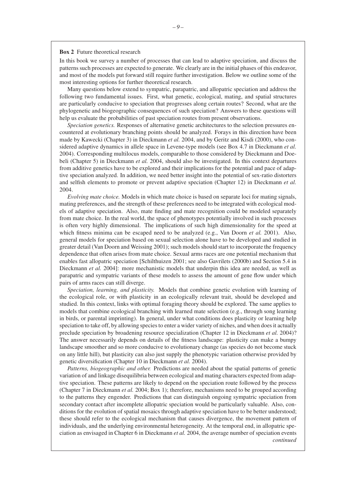#### **Box 2** Future theoretical research

In this book we survey a number of processes that can lead to adaptive speciation, and discuss the patterns such processes are expected to generate. We clearly are in the initial phases of this endeavor, and most of the models put forward still require further investigation. Below we outline some of the most interesting options for further theoretical research.

Many questions below extend to sympatric, parapatric, and allopatric speciation and address the following two fundamental issues. First, what genetic, ecological, mating, and spatial structures are particularly conducive to speciation that progresses along certain routes? Second, what are the phylogenetic and biogeographic consequences of such speciation? Answers to these questions will help us evaluate the probabilities of past speciation routes from present observations.

*Speciation genetics.* Responses of alternative genetic architectures to the selection pressures encountered at evolutionary branching points should be analyzed. Forays in this direction have been made by Kawecki (Chapter 3) in Dieckmann *et al.* 2004, and by Geritz and Kisdi (2000), who considered adaptive dynamics in allele space in Levene-type models (see Box 4.7 in Dieckmann *et al.* 2004). Corresponding multilocus models, comparable to those considered by Dieckmann and Doebeli (Chapter 5) in Dieckmann *et al.* 2004, should also be investigated. In this context departures from additive genetics have to be explored and their implications for the potential and pace of adaptive speciation analyzed. In addition, we need better insight into the potential of sex-ratio distorters and selfish elements to promote or prevent adaptive speciation (Chapter 12) in Dieckmann *et al.* 2004.

*Evolving mate choice.* Models in which mate choice is based on separate loci for mating signals, mating preferences, and the strength of these preferences need to be integrated with ecological models of adaptive speciation. Also, mate finding and mate recognition could be modeled separately from mate choice. In the real world, the space of phenotypes potentially involved in such processes is often very highly dimensional. The implications of such high dimensionality for the speed at which fitness minima can be escaped need to be analyzed (e.g., Van Doorn *et al.* 2001). Also, general models for speciation based on sexual selection alone have to be developed and studied in greater detail (Van Doorn and Weissing 2001); such models should start to incorporate the frequency dependence that often arises from mate choice. Sexual arms races are one potential mechanism that enables fast allopatric speciation [Schilthuizen 2001; see also Gavrilets (2000b) and Section 5.4 in Dieckmann *et al.* 2004]: more mechanistic models that underpin this idea are needed, as well as parapatric and sympatric variants of these models to assess the amount of gene flow under which pairs of arms races can still diverge.

*Speciation, learning, and plasticity.* Models that combine genetic evolution with learning of the ecological role, or with plasticity in an ecologically relevant trait, should be developed and studied. In this context, links with optimal foraging theory should be explored. The same applies to models that combine ecological branching with learned mate selection (e.g., through song learning in birds, or parental imprinting). In general, under what conditions does plasticity or learning help speciation to take off, by allowing species to enter a wider variety of niches, and when does it actually preclude speciation by broadening resource specialization (Chapter 12 in Dieckmann *et al.* 2004)? The answer necessarily depends on details of the fitness landscape: plasticity can make a bumpy landscape smoother and so more conducive to evolutionary change (as species do not become stuck on any little hill), but plasticity can also just supply the phenotypic variation otherwise provided by genetic diversification (Chapter 10 in Dieckmann *et al.* 2004).

Patterns, biogeographic and other. Predictions are needed about the spatial patterns of genetic variation of and linkage disequilibria between ecological and mating characters expected from adaptive speciation. These patterns are likely to depend on the speciation route followed by the process (Chapter 7 in Dieckmann *et al.* 2004; Box 1); therefore, mechanisms need to be grouped according to the patterns they engender. Predictions that can distinguish ongoing sympatric speciation from secondary contact after incomplete allopatric speciation would be particularly valuable. Also, conditions for the evolution of spatial mosaics through adaptive speciation have to be better understood; these should refer to the ecological mechanism that causes divergence, the movement pattern of individuals, and the underlying environmental heterogeneity. At the temporal end, in allopatric speciation as envisaged in Chapter 6 in Dieckmann *et al.* 2004, the average number of speciation events *continued*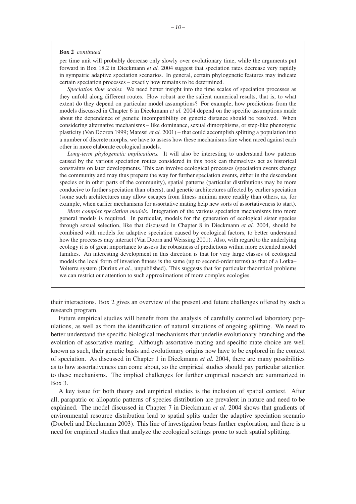#### **Box 2** *continued*

per time unit will probably decrease only slowly over evolutionary time, while the arguments put forward in Box 18.2 in Dieckmann *et al.* 2004 suggest that speciation rates decrease very rapidly in sympatric adaptive speciation scenarios. In general, certain phylogenetic features may indicate certain speciation processes – exactly how remains to be determined.

*Speciation time scales.* We need better insight into the time scales of speciation processes as they unfold along different routes. How robust are the salient numerical results, that is, to what extent do they depend on particular model assumptions? For example, how predictions from the models discussed in Chapter 6 in Dieckmann *et al.* 2004 depend on the specific assumptions made about the dependence of genetic incompatibility on genetic distance should be resolved. When considering alternative mechanisms – like dominance, sexual dimorphisms, or step-like phenotypic plasticity (Van Dooren 1999; Matessi *et al.* 2001) – that could accomplish splitting a population into a number of discrete morphs, we have to assess how these mechanisms fare when raced against each other in more elaborate ecological models.

*Long-term phylogenetic implications.* It will also be interesting to understand how patterns caused by the various speciation routes considered in this book can themselves act as historical constraints on later developments. This can involve ecological processes (speciation events change the community and may thus prepare the way for further speciation events, either in the descendant species or in other parts of the community), spatial patterns (particular distributions may be more conducive to further speciation than others), and genetic architectures affected by earlier speciation (some such architectures may allow escapes from fitness minima more readily than others, as, for example, when earlier mechanisms for assortative mating help new sorts of assortativeness to start).

*More complex speciation models.* Integration of the various speciation mechanisms into more general models is required. In particular, models for the generation of ecological sister species through sexual selection, like that discussed in Chapter 8 in Dieckmann *et al.* 2004, should be combined with models for adaptive speciation caused by ecological factors, to better understand how the processes may interact (Van Doorn and Weissing 2001). Also, with regard to the underlying ecology it is of great importance to assess the robustness of predictions within more extended model families. An interesting development in this direction is that for very large classes of ecological models the local form of invasion fitness is the same (up to second-order terms) as that of a Lotka– Volterra system (Durinx *et al.*, unpublished). This suggests that for particular theoretical problems we can restrict our attention to such approximations of more complex ecologies.

their interactions. Box 2 gives an overview of the present and future challenges offered by such a research program.

Future empirical studies will benefit from the analysis of carefully controlled laboratory populations, as well as from the identification of natural situations of ongoing splitting. We need to better understand the specific biological mechanisms that underlie evolutionary branching and the evolution of assortative mating. Although assortative mating and specific mate choice are well known as such, their genetic basis and evolutionary origins now have to be explored in the context of speciation. As discussed in Chapter 1 in Dieckmann *et al.* 2004, there are many possibilities as to how assortativeness can come about, so the empirical studies should pay particular attention to these mechanisms. The implied challenges for further empirical research are summarized in Box 3.

A key issue for both theory and empirical studies is the inclusion of spatial context. After all, parapatric or allopatric patterns of species distribution are prevalent in nature and need to be explained. The model discussed in Chapter 7 in Dieckmann *et al.* 2004 shows that gradients of environmental resource distribution lead to spatial splits under the adaptive speciation scenario (Doebeli and Dieckmann 2003). This line of investigation bears further exploration, and there is a need for empirical studies that analyze the ecological settings prone to such spatial splitting.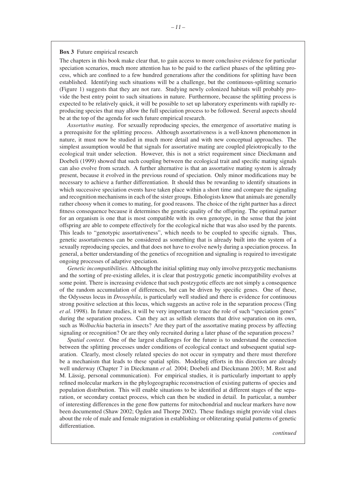#### **Box 3** Future empirical research

The chapters in this book make clear that, to gain access to more conclusive evidence for particular speciation scenarios, much more attention has to be paid to the earliest phases of the splitting process, which are confined to a few hundred generations after the conditions for splitting have been established. Identifying such situations will be a challenge, but the continuous-splitting scenario (Figure 1) suggests that they are not rare. Studying newly colonized habitats will probably provide the best entry point to such situations in nature. Furthermore, because the splitting process is expected to be relatively quick, it will be possible to set up laboratory experiments with rapidly reproducing species that may allow the full speciation process to be followed. Several aspects should be at the top of the agenda for such future empirical research.

*Assortative mating.* For sexually reproducing species, the emergence of assortative mating is a prerequisite for the splitting process. Although assortativeness is a well-known phenomenon in nature, it must now be studied in much more detail and with new conceptual approaches. The simplest assumption would be that signals for assortative mating are coupled pleiotropically to the ecological trait under selection. However, this is not a strict requirement since Dieckmann and Doebeli (1999) showed that such coupling between the ecological trait and specific mating signals can also evolve from scratch. A further alternative is that an assortative mating system is already present, because it evolved in the previous round of speciation. Only minor modifications may be necessary to achieve a further differentiation. It should thus be rewarding to identify situations in which successive speciation events have taken place within a short time and compare the signaling and recognition mechanisms in each of the sister groups. Ethologists know that animals are generally rather choosy when it comes to mating, for good reasons. The choice of the right partner has a direct fitness consequence because it determines the genetic quality of the offspring. The optimal partner for an organism is one that is most compatible with its own genotype, in the sense that the joint offspring are able to compete effectively for the ecological niche that was also used by the parents. This leads to "genotypic assortativeness", which needs to be coupled to specific signals. Thus, genetic assortativeness can be considered as something that is already built into the system of a sexually reproducing species, and that does not have to evolve newly during a speciation process. In general, a better understanding of the genetics of recognition and signaling is required to investigate ongoing processes of adaptive speciation.

*Genetic incompatibilities.* Although the initial splitting may only involve prezygotic mechanisms and the sorting of pre-existing alleles, it is clear that postzygotic genetic incompatibility evolves at some point. There is increasing evidence that such postzygotic effects are not simply a consequence of the random accumulation of differences, but can be driven by specific genes. One of these, the Odysseus locus in *Drosophila*, is particularly well studied and there is evidence for continuous strong positive selection at this locus, which suggests an active role in the separation process (Ting *et al.* 1998). In future studies, it will be very important to trace the role of such "speciation genes" during the separation process. Can they act as selfish elements that drive separation on its own, such as *Wolbachia* bacteria in insects? Are they part of the assortative mating process by affecting signaling or recognition? Or are they only recruited during a later phase of the separation process?

*Spatial context.* One of the largest challenges for the future is to understand the connection between the splitting processes under conditions of ecological contact and subsequent spatial separation. Clearly, most closely related species do not occur in sympatry and there must therefore be a mechanism that leads to these spatial splits. Modeling efforts in this direction are already well underway (Chapter 7 in Dieckmann *et al.* 2004; Doebeli and Dieckmann 2003; M. Rost and M. Lässig, personal communication). For empirical studies, it is particularly important to apply refined molecular markers in the phylogeographic reconstruction of existing patterns of species and population distribution. This will enable situations to be identified at different stages of the separation, or secondary contact process, which can then be studied in detail. In particular, a number of interesting differences in the gene flow patterns for mitochondrial and nuclear markers have now been documented (Shaw 2002; Ogden and Thorpe 2002). These findings might provide vital clues about the role of male and female migration in establishing or obliterating spatial patterns of genetic differentiation.

*continued*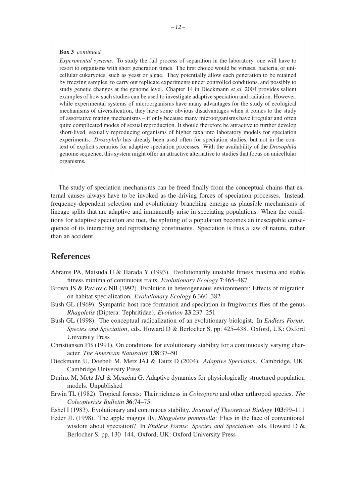#### **Box 3** *continued*

*Experimental systems.* To study the full process of separation in the laboratory, one will have to resort to organisms with short generation times. The first choice would be viruses, bacteria, or unicellular eukaryotes, such as yeast or algae. They potentially allow each generation to be retained by freezing samples, to carry out replicate experiments under controlled conditions, and possibly to study genetic changes at the genome level. Chapter 14 in Dieckmann *et al.* 2004 provides salient examples of how such studies can be used to investigate adaptive speciation and radiation. However, while experimental systems of microorganisms have many advantages for the study of ecological mechanisms of diversification, they have some obvious disadvantages when it comes to the study of assortative mating mechanisms – if only because many microorganisms have irregular and often quite complicated modes of sexual reproduction. It should therefore be attractive to further develop short-lived, sexually reproducing organisms of higher taxa into laboratory models for speciation experiments. *Drosophila* has already been used often for speciation studies, but not in the context of explicit scenarios for adaptive speciation processes. With the availability of the *Drosophila* genome sequence, this system might offer an attractive alternative to studies that focus on unicellular organisms.

The study of speciation mechanisms can be freed finally from the conceptual chains that external causes always have to be invoked as the driving forces of speciation processes. Instead, frequency-dependent selection and evolutionary branching emerge as plausible mechanisms of lineage splits that are adaptive and immanently arise in speciating populations. When the conditions for adaptive speciation are met, the splitting of a population becomes an inescapable consequence of its interacting and reproducing constituents. Speciation is thus a law of nature, rather than an accident.

#### **References**

- Abrams PA, Matsuda H & Harada Y (1993). Evolutionarily unstable fitness maxima and stable fitness minima of continuous traits. *Evolutionary Ecology* **7**:465–487
- Brown JS & Pavlovic NB (1992). Evolution in heterogeneous environments: Effects of migration on habitat specialization. *Evolutionary Ecology* **6**:360–382
- Bush GL (1969). Sympatric host race formation and speciation in frugivorous flies of the genus *Rhagoletis* (Diptera: Tephritidae). *Evolution* **23**:237–251
- Bush GL (1998). The conceptual radicalization of an evolutionary biologist. In *Endless Forms: Species and Speciation*, eds. Howard D & Berlocher S, pp. 425–438. Oxford, UK: Oxford University Press
- Christiansen FB (1991). On conditions for evolutionary stability for a continuously varying character. *The American Naturalist* **138**:37–50
- Dieckmann U, Doebeli M, Metz JAJ & Tautz D (2004). *Adaptive Speciation*. Cambridge, UK: Cambridge University Press.
- Durinx M, Metz JAJ & Meszéna G. Adaptive dynamics for physiologically structured population models. Unpublished
- Erwin TL (1982). Tropical forests: Their richness in *Coleoptera* and other arthropod species. *The Coleopterists Bulletin* **36**:74–75
- Eshel I (1983). Evolutionary and continuous stability. *Journal of Theoretical Biology* **103**:99–111
- Feder JL (1998). The apple maggot fly, *Rhagoletis pomonella*: Flies in the face of conventional wisdom about speciation? In *Endless Forms: Species and Speciation*, eds. Howard D & Berlocher S, pp. 130–144. Oxford, UK: Oxford University Press